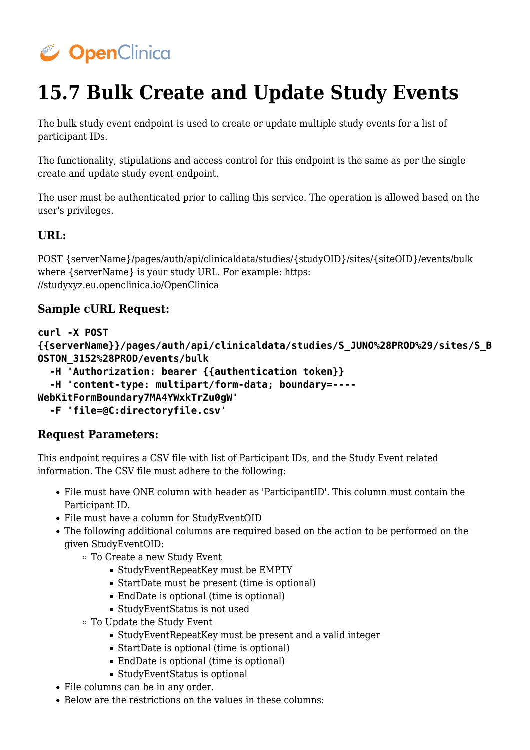

# **15.7 Bulk Create and Update Study Events**

The bulk study event endpoint is used to create or update multiple study events for a list of participant IDs.

The functionality, stipulations and access control for this endpoint is the same as per the single create and update study event endpoint.

The user must be authenticated prior to calling this service. The operation is allowed based on the user's privileges.

#### **URL:**

POST {serverName}/pages/auth/api/clinicaldata/studies/{studyOID}/sites/{siteOID}/events/bulk where {serverName} is your study URL. For example: https: //studyxyz.eu.openclinica.io/OpenClinica

#### **Sample cURL Request:**

**curl -X POST**

**{{serverName}}/pages/auth/api/clinicaldata/studies/S\_JUNO%28PROD%29/sites/S\_B OSTON\_3152%28PROD/events/bulk**

```
 -H 'Authorization: bearer {{authentication token}}
```
 **-H 'content-type: multipart/form-data; boundary=----**

**WebKitFormBoundary7MA4YWxkTrZu0gW'**

 **-F 'file=@C:directoryfile.csv'**

#### **Request Parameters:**

This endpoint requires a CSV file with list of Participant IDs, and the Study Event related information. The CSV file must adhere to the following:

- File must have ONE column with header as 'ParticipantID'. This column must contain the Participant ID.
- File must have a column for StudyEventOID
- The following additional columns are required based on the action to be performed on the given StudyEventOID:
	- To Create a new Study Event
		- StudyEventRepeatKey must be EMPTY
		- StartDate must be present (time is optional)
		- EndDate is optional (time is optional)
		- StudyEventStatus is not used
	- To Update the Study Event
		- StudyEventRepeatKey must be present and a valid integer
		- StartDate is optional (time is optional)
		- EndDate is optional (time is optional)
		- StudyEventStatus is optional
- File columns can be in any order.
- $\bullet$  Below are the restrictions on the values in these columns: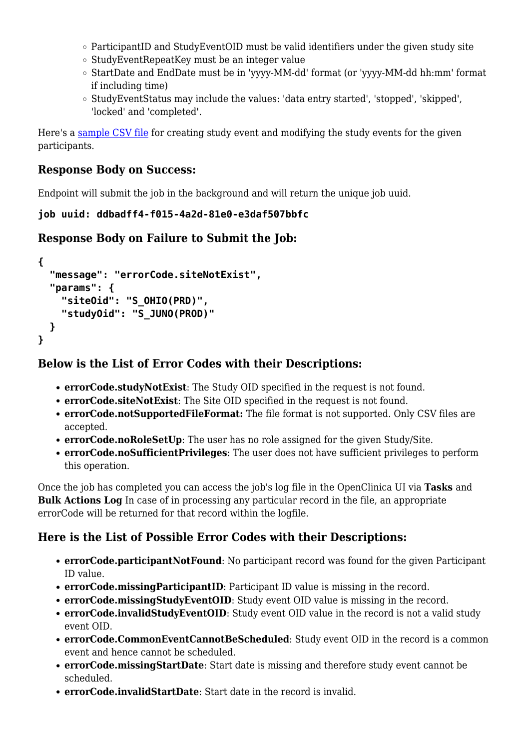- $\circ$  ParticipantID and StudyEventOID must be valid identifiers under the given study site
- $\circ$  StudyEventRepeatKey must be an integer value
- StartDate and EndDate must be in 'yyyy-MM-dd' format (or 'yyyy-MM-dd hh:mm' format if including time)
- StudyEventStatus may include the values: 'data entry started', 'stopped', 'skipped', 'locked' and 'completed'.

Here's a [sample CSV file](https://docs.openclinica.com/system/files/events.csv) for creating study event and modifying the study events for the given participants.

#### **Response Body on Success:**

Endpoint will submit the job in the background and will return the unique job uuid.

```
job uuid: ddbadff4-f015-4a2d-81e0-e3daf507bbfc
```
## **Response Body on Failure to Submit the Job:**

```
{
   "message": "errorCode.siteNotExist",
   "params": {
     "siteOid": "S_OHIO(PRD)",
     "studyOid": "S_JUNO(PROD)"
   }
}
```
### **Below is the List of Error Codes with their Descriptions:**

- **errorCode.studyNotExist**: The Study OID specified in the request is not found.
- **errorCode.siteNotExist**: The Site OID specified in the request is not found.
- **errorCode.notSupportedFileFormat:** The file format is not supported. Only CSV files are accepted.
- **errorCode.noRoleSetUp**: The user has no role assigned for the given Study/Site.
- **errorCode.noSufficientPrivileges**: The user does not have sufficient privileges to perform this operation.

Once the job has completed you can access the job's log file in the OpenClinica UI via **Tasks** and **Bulk Actions Log** In case of in processing any particular record in the file, an appropriate errorCode will be returned for that record within the logfile.

## **Here is the List of Possible Error Codes with their Descriptions:**

- **errorCode.participantNotFound**: No participant record was found for the given Participant ID value.
- **errorCode.missingParticipantID**: Participant ID value is missing in the record.
- **errorCode.missingStudyEventOID**: Study event OID value is missing in the record.
- **errorCode.invalidStudyEventOID**: Study event OID value in the record is not a valid study event OID.
- **errorCode.CommonEventCannotBeScheduled**: Study event OID in the record is a common event and hence cannot be scheduled.
- **errorCode.missingStartDate**: Start date is missing and therefore study event cannot be scheduled.
- **errorCode.invalidStartDate**: Start date in the record is invalid.